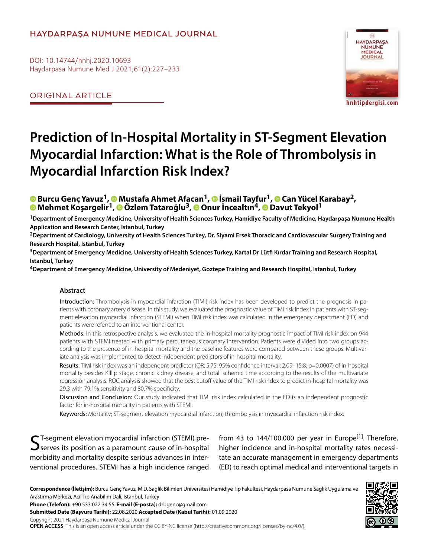## **HAYDARPAŞA NUMUNE MEDICAL JOURNAL**

DOI: 10.14744/hnhj.2020.10693 Haydarpasa Numune Med J 2021;61(2):227–233

ORIGINAL ARTICLE



## **Prediction of In-Hospital Mortality in ST-Segment Elevation Myocardial Infarction: What is the Role of Thrombolysis in Myocardial Infarction Risk Index?**

# <mark>®</mark>Burcu Genç Yavuz<sup>1</sup>, ® [M](https://orcid.org/0000-0001-8109-0471
)ustafa Ahmet Afa[can](https://orcid.org/0000-0001-6335-674X
)<sup>1</sup>, ® İsmail Tayf[ur](https://orcid.org/0000-0001-9353-6063)<sup>1</sup>, ® Can Yücel Karabay<sup>2</sup>,<br>® Mehmet Kosargelir<sup>1</sup>, ® Özlem Tataroğlu<sup>3</sup>, ® O[nur](https://orcid.org/0000-0002-4852-7915
) İncealtın<sup>4</sup>, ® [Dav](https://orcid.org/0000-0002-9653-9048
)ut Tekyol<sup>1</sup>

**1Department of Emergency Medicine, University of Health Sciences Turkey, Hamidiye Faculty of Medicine, Haydarpaşa Numune Health Application and Research Center, Istanbul, Turkey**

**2Department of Cardiology, University of Health Sciences Turkey, Dr. Siyami Ersek Thoracic and Cardiovascular Surgery Training and Research Hospital, Istanbul, Turkey**

**3Department of Emergency Medicine, University of Health Sciences Turkey, Kartal Dr Lütfi Kırdar Training and Research Hospital, Istanbul, Turkey**

**4Department of Emergency Medicine, University of Medeniyet, Goztepe Training and Research Hospital, Istanbul, Turkey**

#### **Abstract**

Introduction: Thrombolysis in myocardial infarction (TIMI) risk index has been developed to predict the prognosis in patients with coronary artery disease. In this study, we evaluated the prognostic value of TIMI risk index in patients with ST-segment elevation myocardial infarction (STEMI) when TIMI risk index was calculated in the emergency department (ED) and patients were referred to an interventional center.

Methods: In this retrospective analysis, we evaluated the in-hospital mortality prognostic impact of TIMI risk index on 944 patients with STEMI treated with primary percutaneous coronary intervention. Patients were divided into two groups according to the presence of in-hospital mortality and the baseline features were compared between these groups. Multivariate analysis was implemented to detect independent predictors of in-hospital mortality.

Results: TIMI risk index was an independent predictor (OR: 5.75; 95% confidence interval: 2.09–15.8; p=0.0007) of in-hospital mortality besides Killip stage, chronic kidney disease, and total ischemic time according to the results of the multivariate regression analysis. ROC analysis showed that the best cutoff value of the TIMI risk index to predict in-hospital mortality was 29.3 with 79.1% sensitivity and 80.7% specificity.

Discussion and Conclusion: Our study indicated that TIMI risk index calculated in the ED is an independent prognostic factor for in-hospital mortality in patients with STEMI.

Keywords: Mortality; ST-segment elevation myocardial infarction; thrombolysis in myocardial infarction risk index.

ST-segment elevation myocardial infarction (STEMI) pre- $\mathbf{\mathcal{S}}$  serves its position as a paramount cause of in-hospital morbidity and mortality despite serious advances in interventional procedures. STEMI has a high incidence ranged from 43 to 144/100.000 per year in Europe<sup>[1]</sup>. Therefore, higher incidence and in-hospital mortality rates necessitate an accurate management in emergency departments (ED) to reach optimal medical and interventional targets in

**Correspondence (İletişim):** Burcu Genç Yavuz, M.D. Saglik Bilimleri Universitesi Hamidiye Tip Fakultesi, Haydarpasa Numune Saglik Uygulama ve Arastirma Merkezi, Acil Tip Anabilim Dali, Istanbul, Turkey

**Phone (Telefon):** +90 533 022 34 55 **E-mail (E-posta):** drbgenc@gmail.com

**Submitted Date (Başvuru Tarihi):** 22.08.2020 **Accepted Date (Kabul Tarihi):** 01.09.2020

Copyright 2021 Haydarpaşa Numune Medical Journal

**OPEN ACCESS** This is an open access article under the CC BY-NC license (http://creativecommons.org/licenses/by-nc/4.0/).

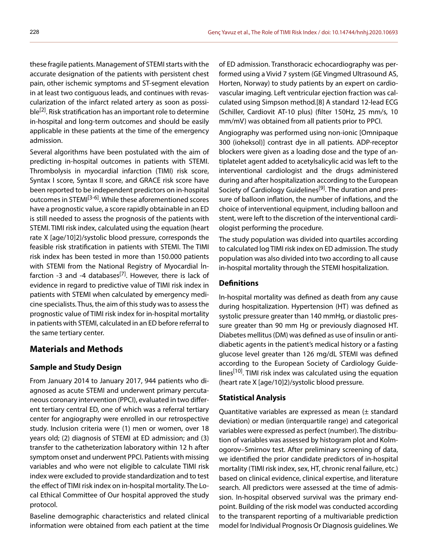these fragile patients. Management of STEMI starts with the accurate designation of the patients with persistent chest pain, other ischemic symptoms and ST-segment elevation in at least two contiguous leads, and continues with revascularization of the infarct related artery as soon as possible<sup>[2]</sup>. Risk stratification has an important role to determine in-hospital and long-term outcomes and should be easily applicable in these patients at the time of the emergency admission.

Several algorithms have been postulated with the aim of predicting in-hospital outcomes in patients with STEMI. Thrombolysis in myocardial infarction (TIMI) risk score, Syntax I score, Syntax II score, and GRACE risk score have been reported to be independent predictors on in-hospital outcomes in STEMI<sup>[3-6]</sup>. While these aforementioned scores have a prognostic value, a score rapidly obtainable in an ED is still needed to assess the prognosis of the patients with STEMI. TIMI risk index, calculated using the equation (heart rate X [age/10]2)/systolic blood pressure, corresponds the feasible risk stratification in patients with STEMI. The TIMI risk index has been tested in more than 150.000 patients with STEMI from the National Registry of Myocardial İnfarction -3 and -4 databases<sup>[7]</sup>. However, there is lack of evidence in regard to predictive value of TIMI risk index in patients with STEMI when calculated by emergency medicine specialists. Thus, the aim of this study was to assess the prognostic value of TIMI risk index for in-hospital mortality in patients with STEMI, calculated in an ED before referral to the same tertiary center.

## **Materials and Methods**

#### **Sample and Study Design**

From January 2014 to January 2017, 944 patients who diagnosed as acute STEMI and underwent primary percutaneous coronary intervention (PPCI), evaluated in two different tertiary central ED, one of which was a referral tertiary center for angiography were enrolled in our retrospective study. Inclusion criteria were (1) men or women, over 18 years old; (2) diagnosis of STEMI at ED admission; and (3) transfer to the catheterization laboratory within 12 h after symptom onset and underwent PPCI. Patients with missing variables and who were not eligible to calculate TIMI risk index were excluded to provide standardization and to test the effect of TIMI risk index on in-hospital mortality. The Local Ethical Committee of Our hospital approved the study protocol.

Baseline demographic characteristics and related clinical information were obtained from each patient at the time

of ED admission. Transthoracic echocardiography was performed using a Vivid 7 system (GE Vingmed Ultrasound AS, Horten, Norway) to study patients by an expert on cardiovascular imaging. Left ventricular ejection fraction was calculated using Simpson method.[8] A standard 12-lead ECG (Schiller, Cardiovit AT-10 plus) (filter 150Hz, 25 mm/s, 10 mm/mV) was obtained from all patients prior to PPCI.

Angiography was performed using non-ionic [Omnipaque 300 (ioheksol)] contrast dye in all patients. ADP-receptor blockers were given as a loading dose and the type of antiplatelet agent added to acetylsalicylic acid was left to the interventional cardiologist and the drugs administered during and after hospitalization according to the European Society of Cardiology Guidelines<sup>[9]</sup>. The duration and pressure of balloon inflation, the number of inflations, and the choice of interventional equipment, including balloon and stent, were left to the discretion of the interventional cardiologist performing the procedure.

The study population was divided into quartiles according to calculated log TIMI risk index on ED admission. The study population was also divided into two according to all cause in-hospital mortality through the STEMI hospitalization.

#### **Definitions**

In-hospital mortality was defined as death from any cause during hospitalization. Hypertension (HT) was defined as systolic pressure greater than 140 mmHg, or diastolic pressure greater than 90 mm Hg or previously diagnosed HT. Diabetes mellitus (DM) was defined as use of insulin or antidiabetic agents in the patient's medical history or a fasting glucose level greater than 126 mg/dL STEMI was defined according to the European Society of Cardiology Guidelines<sup>[10]</sup>. TIMI risk index was calculated using the equation (heart rate X [age/10]2)/systolic blood pressure.

#### **Statistical Analysis**

Quantitative variables are expressed as mean (± standard deviation) or median (interquartile range) and categorical variables were expressed as perfect (number). The distribution of variables was assessed by histogram plot and Kolmogorov–Smirnov test. After preliminary screening of data, we identified the prior candidate predictors of in-hospital mortality (TIMI risk index, sex, HT, chronic renal failure, etc.) based on clinical evidence, clinical expertise, and literature search. All predictors were assessed at the time of admission. In-hospital observed survival was the primary endpoint. Building of the risk model was conducted according to the transparent reporting of a multivariable prediction model for Individual Prognosis Or Diagnosis guidelines. We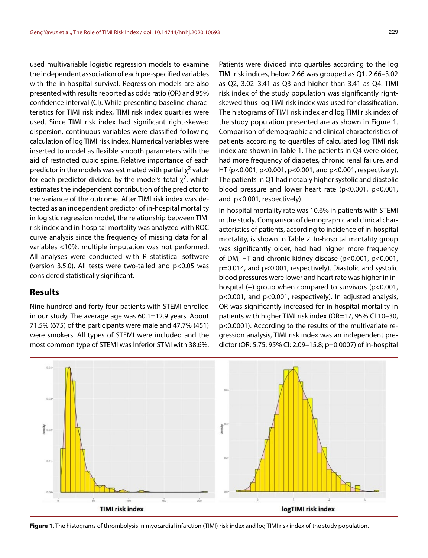used multivariable logistic regression models to examine the independent association of each pre-specified variables with the in-hospital survival. Regression models are also presented with results reported as odds ratio (OR) and 95% confidence interval (CI). While presenting baseline characteristics for TIMI risk index, TIMI risk index quartiles were used. Since TIMI risk index had significant right-skewed dispersion, continuous variables were classified following calculation of log TIMI risk index. Numerical variables were inserted to model as flexible smooth parameters with the aid of restricted cubic spine. Relative importance of each predictor in the models was estimated with partial  $\chi^2$  value for each predictor divided by the model's total  $\chi^2$ , which estimates the independent contribution of the predictor to the variance of the outcome. After TIMI risk index was detected as an independent predictor of in-hospital mortality in logistic regression model, the relationship between TIMI risk index and in-hospital mortality was analyzed with ROC curve analysis since the frequency of missing data for all variables <10%, multiple imputation was not performed. All analyses were conducted with R statistical software (version 3.5.0). All tests were two-tailed and p<0.05 was considered statistically significant.

#### **Results**

Nine hundred and forty-four patients with STEMI enrolled in our study. The average age was 60.1±12.9 years. About 71.5% (675) of the participants were male and 47.7% (451) were smokers. All types of STEMI were included and the most common type of STEMI was İnferior STMI with 38.6%.

Patients were divided into quartiles according to the log TIMI risk indices, below 2.66 was grouped as Q1, 2.66–3.02 as Q2, 3.02–3.41 as Q3 and higher than 3.41 as Q4. TIMI risk index of the study population was significantly rightskewed thus log TIMI risk index was used for classification. The histograms of TIMI risk index and log TIMI risk index of the study population presented are as shown in Figure 1. Comparison of demographic and clinical characteristics of patients according to quartiles of calculated log TIMI risk index are shown in Table 1. The patients in Q4 were older, had more frequency of diabetes, chronic renal failure, and HT (p<0.001, p<0.001, p<0.001, and p<0.001, respectively). The patients in Q1 had notably higher systolic and diastolic blood pressure and lower heart rate (p<0.001, p<0.001, and p<0.001, respectively).

In-hospital mortality rate was 10.6% in patients with STEMI in the study. Comparison of demographic and clinical characteristics of patients, according to incidence of in-hospital mortality, is shown in Table 2. In-hospital mortality group was significantly older, had had higher more frequency of DM, HT and chronic kidney disease (p<0.001, p<0.001, p=0.014, and p<0.001, respectively). Diastolic and systolic blood pressures were lower and heart rate was higher in inhospital (+) group when compared to survivors (p<0.001, p<0.001, and p<0.001, respectively). In adjusted analysis, OR was significantly increased for in-hospital mortality in patients with higher TIMI risk index (OR=17, 95% CI 10–30, p<0.0001). According to the results of the multivariate regression analysis, TIMI risk index was an independent predictor (OR: 5.75; 95% CI: 2.09–15.8; p=0.0007) of in-hospital



**Figure 1.** The histograms of thrombolysis in myocardial infarction (TIMI) risk index and log TIMI risk index of the study population.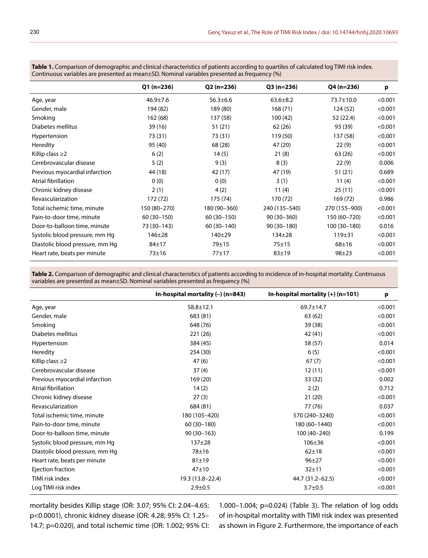**Table 1.** Comparison of demographic and clinical characteristics of patients according to quartiles of calculated log TIMI risk index. Continuous variables are presented as mean±SD. Nominal variables presented as frequency (%)

|                                 | $Q1(n=236)$    | $Q2 (n=236)$   | $Q3(n=236)$    | $Q4(n=236)$     | p       |
|---------------------------------|----------------|----------------|----------------|-----------------|---------|
| Age, year                       | $46.9 \pm 7.6$ | $56.3 \pm 6.6$ | $63.6 \pm 8.2$ | $73.7 \pm 10.0$ | < 0.001 |
| Gender, male                    | 194 (82)       | 189 (80)       | 168(71)        | 124 (52)        | < 0.001 |
| Smoking                         | 162 (68)       | 137 (58)       | 100(42)        | 52 (22.4)       | < 0.001 |
| Diabetes mellitus               | 39 (16)        | 51 (21)        | 62(26)         | 93 (39)         | < 0.001 |
| Hypertension                    | 73 (31)        | 73 (31)        | 119 (50)       | 137 (58)        | < 0.001 |
| Heredity                        | 95 (40)        | 68 (28)        | 47 (20)        | 22(9)           | < 0.001 |
| Killip class $\geq$ 2           | 6(2)           | 14(5)          | 21(8)          | 63 (26)         | < 0.001 |
| Cerebrovascular disease         | 5(2)           | 9(3)           | 8(3)           | 22(9)           | 0.006   |
| Previous myocardial infarction  | 44 (18)        | 42 (17)        | 47 (19)        | 51(21)          | 0.689   |
| Atrial fibrillation             | 0(0)           | 0(0)           | 3(1)           | 11(4)           | < 0.001 |
| Chronic kidney disease          | 2(1)           | 4(2)           | 11(4)          | 25(11)          | < 0.001 |
| Revascularization               | 172 (72)       | 175 (74)       | 170 (72)       | 169 (72)        | 0.986   |
| Total ischemic time, minute     | 150 (80-270)   | 180 (90-360)   | 240 (135-540)  | 270 (155-900)   | < 0.001 |
| Pain-to-door time, minute       | 60 (30 - 150)  | 60 (30-150)    | 90 (30-360)    | 150 (60-720)    | < 0.001 |
| Door-to-balloon time, minute    | 73 (30-143)    | 60 (30-140)    | 90 (30-180)    | 100 (30-180)    | 0.016   |
| Systolic blood pressure, mm Hq  | $146 + 28$     | $140 + 29$     | $134 \pm 28$   | $119 + 31$      | < 0.001 |
| Diastolic blood pressure, mm Hq | $84 + 17$      | $79 + 15$      | $75 + 15$      | $68 + 16$       | < 0.001 |
| Heart rate, beats per minute    | $73 + 16$      | $77 + 17$      | $83 + 19$      | $98 + 23$       | < 0.001 |

**Table 2.** Comparison of demographic and clinical characteristics of patients according to incidence of in-hospital mortality. Continuous variables are presented as mean±SD. Nominal variables presented as frequency (%)

|                                 | In-hospital mortality $(-)$ (n=843) | In-hospital mortality $(+)$ (n=101) | p       |
|---------------------------------|-------------------------------------|-------------------------------------|---------|
| Age, year                       | $58.8 \pm 12.1$                     | $69.7 \pm 14.7$                     | < 0.001 |
| Gender, male                    | 683 (81)                            | 63 (62)                             | < 0.001 |
| Smoking                         | 648 (76)                            | 39 (38)                             | < 0.001 |
| Diabetes mellitus               | 221 (26)                            | 42 (41)                             | < 0.001 |
| Hypertension                    | 384 (45)                            | 58 (57)                             | 0.014   |
| Heredity                        | 254 (30)                            | 6(5)                                | < 0.001 |
| Killip class $\geq$ 2           | 47(6)                               | 67(7)                               | < 0.001 |
| Cerebrovascular disease         | 37(4)                               | 12(11)                              | < 0.001 |
| Previous myocardial infarction  | 169 (20)                            | 33 (32)                             | 0.002   |
| Atrial fibrillation             | 14(2)                               | 2(2)                                | 0.712   |
| Chronic kidney disease          | 27(3)                               | 21 (20)                             | < 0.001 |
| Revascularization               | 684 (81)                            | 77 (76)                             | 0.037   |
| Total ischemic time, minute     | 180 (105-420)                       | 570 (240-3240)                      | < 0.001 |
| Pain-to-door time, minute       | 60 (30-180)                         | 180 (60-1440)                       | < 0.001 |
| Door-to-balloon time, minute    | $90(30-163)$                        | 100 (40-240)                        | 0.199   |
| Systolic blood pressure, mm Hg  | $137 + 28$                          | $106 + 36$                          | < 0.001 |
| Diastolic blood pressure, mm Hg | $78 + 16$                           | $62 + 18$                           | < 0.001 |
| Heart rate, beats per minute    | $81 + 19$                           | $96 + 27$                           | < 0.001 |
| Ejection fraction               | $47 + 10$                           | $32 + 11$                           | < 0.001 |
| TIMI risk index                 | 19.3 (13.8-22.4)                    | 44.7 (31.2–62.5)                    | < 0.001 |
| Log TIMI risk index             | $2.9 + 0.5$                         | $3.7 + 0.5$                         | < 0.001 |

mortality besides Killip stage (OR: 3.07; 95% CI: 2.04–4.65; p<0.0001), chronic kidney disease (OR: 4.28; 95% CI: 1.25– 14.7; p=0.020), and total ischemic time (OR: 1.002; 95% CI:

1.000–1.004; p=0.024) (Table 3). The relation of log odds of in-hospital mortality with TIMI risk index was presented as shown in Figure 2. Furthermore, the importance of each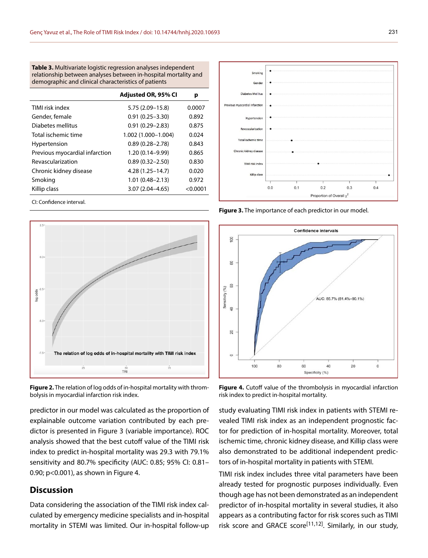**Table 3.** Multivariate logistic regression analyses independent relationship between analyses between in-hospital mortality and demographic and clinical characteristics of patients

|                                | Adjusted OR, 95% CI | р        |
|--------------------------------|---------------------|----------|
| TIMI risk index                | 5.75 (2.09-15.8)    | 0.0007   |
| Gender, female                 | $0.91(0.25 - 3.30)$ | 0.892    |
| Diabetes mellitus              | $0.91(0.29 - 2.83)$ | 0.875    |
| Total ischemic time            | 1.002 (1.000-1.004) | 0.024    |
| Hypertension                   | $0.89(0.28 - 2.78)$ | 0.843    |
| Previous myocardial infarction | 1.20 (0.14-9.99)    | 0.865    |
| Revascularization              | $0.89(0.32 - 2.50)$ | 0.830    |
| Chronic kidney disease         | $4.28(1.25 - 14.7)$ | 0.020    |
| Smoking                        | $1.01(0.48 - 2.13)$ | 0.972    |
| Killip class                   | $3.07(2.04 - 4.65)$ | < 0.0001 |

CI: Confidence interval.



**Figure 2.** The relation of log odds of in-hospital mortality with thrombolysis in myocardial infarction risk index.

predictor in our model was calculated as the proportion of explainable outcome variation contributed by each predictor is presented in Figure 3 (variable importance). ROC analysis showed that the best cutoff value of the TIMI risk index to predict in-hospital mortality was 29.3 with 79.1% sensitivity and 80.7% specificity (AUC: 0.85; 95% CI: 0.81– 0.90; p<0.001), as shown in Figure 4.

## **Discussion**

Data considering the association of the TIMI risk index calculated by emergency medicine specialists and in-hospital mortality in STEMI was limited. Our in-hospital follow-up



**Figure 3.** The importance of each predictor in our model.



**Figure 4.** Cutoff value of the thrombolysis in myocardial infarction risk index to predict in-hospital mortality.

study evaluating TIMI risk index in patients with STEMI revealed TIMI risk index as an independent prognostic factor for prediction of in-hospital mortality. Moreover, total ischemic time, chronic kidney disease, and Killip class were also demonstrated to be additional independent predictors of in-hospital mortality in patients with STEMI.

TIMI risk index includes three vital parameters have been already tested for prognostic purposes individually. Even though age has not been demonstrated as an independent predictor of in-hospital mortality in several studies, it also appears as a contributing factor for risk scores such as TIMI risk score and GRACE score<sup>[11,12]</sup>. Similarly, in our study,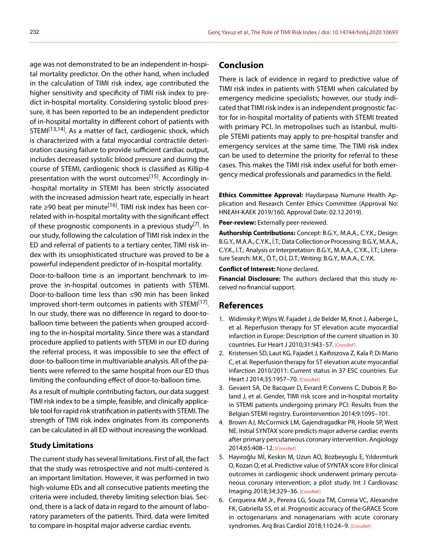age was not demonstrated to be an independent in-hospital mortality predictor. On the other hand, when included in the calculation of TIMI risk index, age contributed the higher sensitivity and specificity of TIMI risk index to predict in-hospital mortality. Considering systolic blood pressure, it has been reported to be an independent predictor of in-hospital mortality in different cohort of patients with STEMI<sup>[13,14]</sup>. As a matter of fact, cardiogenic shock, which is characterized with a fatal myocardial contractile deterioration causing failure to provide sufficient cardiac output, includes decreased systolic blood pressure and during the course of STEMI, cardiogenic shock is classified as Killip-4 presentation with the worst outcomes<sup>[15]</sup>. Accordingly in--hospital mortality in STEMI has been strictly associated with the increased admission heart rate, especially in heart rate ≥90 beat per minute<sup>[16]</sup>. TIMI risk index has been correlated with in-hospital mortality with the significant effect of these prognostic components in a previous study<sup>[7]</sup>. In our study, following the calculation of TIMI risk index in the ED and referral of patients to a tertiary center, TIMI risk index with its unsophisticated structure was proved to be a powerful independent predictor of in-hospital mortality.

Door-to-balloon time is an important benchmark to improve the in-hospital outcomes in patients with STEMI. Door-to-balloon time less than ≤90 min has been linked improved short-term outcomes in patients with STEMI<sup>[17]</sup>. In our study, there was no difference in regard to door-toballoon time between the patients when grouped according to the in-hospital mortality. Since there was a standard procedure applied to patients with STEMI in our ED during the referral process, it was impossible to see the effect of door-to-balloon time in multivariable analysis. All of the patients were referred to the same hospital from our ED thus limiting the confounding effect of door-to-balloon time.

As a result of multiple contributing factors, our data suggest TIMI risk index to be a simple, feasible, and clinically applicable tool for rapid risk stratification in patients with STEMI. The strength of TIMI risk index originates from its components can be calculated in all ED without increasing the workload.

#### **Study Limitations**

The current study has several limitations. First of all, the fact that the study was retrospective and not multi-centered is an important limitation. However, it was performed in two high-volume EDs and all consecutive patients meeting the criteria were included, thereby limiting selection bias. Second, there is a lack of data in regard to the amount of laboratory parameters of the patients. Third, data were limited to compare in-hospital major adverse cardiac events.

## **Conclusion**

There is lack of evidence in regard to predictive value of TIMI risk index in patients with STEMI when calculated by emergency medicine specialists; however, our study indicated that TIMI risk index is an independent prognostic factor for in-hospital mortality of patients with STEMI treated with primary PCI. In metropolises such as Istanbul, multiple STEMI patients may apply to pre-hospital transfer and emergency services at the same time. The TIMI risk index can be used to determine the priority for referral to these cases. This makes the TIMI risk index useful for both emergency medical professionals and paramedics in the field.

**Ethics Committee Approval:** Haydarpasa Numune Health Application and Research Center Ethics Committee (Approval No: HNEAH-KAEK 2019/160, Approval Date: 02.12.2019).

**Peer-review:** Externally peer-reviewed.

**Authorship Contributions:** Concept: B.G.Y., M.A.A., C.Y.K.; Design: B.G.Y., M.A.A., C.Y.K., İ.T.; Data Collection or Processing: B.G.Y., M.A.A., C.Y.K., İ.T.; Analysis or Interpretation: B.G.Y., M.A.A., C.Y.K., İ.T.; Literature Search: M.K., Ö.T., O.İ, D.T.; Writing: B.G.Y., M.A.A., C.Y.K.

**Conflict of Interest:** None declared.

**Financial Disclosure:** The authors declared that this study received no financial support.

### **References**

- 1. Widimsky P, Wijns W, Fajadet J, de Belder M, Knot J, Aaberge L, et al. Reperfusion therapy for ST elevation acute myocardial infarction in Europe: Description of the current situation in 30 countries. Eur Heart J 2010;31:943–5[7. \[CrossRef\]](https://doi.org/10.1093/eurheartj/ehp492)
- 2. Kristensen SD, Laut KG, Fajadet J, Kaifoszova Z, Kala P, Di Mario C, et al. Reperfusion therapy for ST elevation acute myocardial infarction 2010/2011: Current status in 37 ESC countries. Eur Heart J 2014;35:1957–7[0. \[CrossRef\]](https://doi.org/10.1093/eurheartj/ehu333)
- 3. Gevaert SA, De Bacquer D, Evrard P, Convens C, Dubois P, Boland J, et al. Gender, TIMI risk score and in-hospital mortality in STEMI patients undergoing primary PCI: Results from the Belgian STEMI registry. Eurointervention 2014;9:1095–101.
- 4. Brown AJ, McCormick LM, Gajendragadkar PR, Hoole SP, West NE. Initial SYNTAX score predicts major adverse cardiac events after primary percutaneous coronary intervention. Angiology 2014;65:408–[12. \[CrossRef\]](https://doi.org/10.1177/0003319713483542)
- 5. Hayıroğlu Mİ, Keskin M, Uzun AO, Bozbeyoglu E, Yıldırımturk O, Kozan O, et al. Predictive value of SYNTAX score II for clinical outcomes in cardiogenic shock underwent primary percutaneous coronary intervention; a pilot study. Int J Cardiovasc Imaging 2018;34:329–[36. \[CrossRef\]](https://doi.org/10.1007/s10554-017-1241-9)
- 6. Cerqueira AM Jr., Pereira LG, Souza TM, Correia VC, Alexandre FK, Gabriella SS, et al. Prognostic accuracy of the GRACE Score in octogenarians and nonagenarians with acute coronary syndromes. Arq Bras Cardiol 2018;110:24-9[. \[CrossRef\]](https://doi.org/10.5935/abc.20170175)